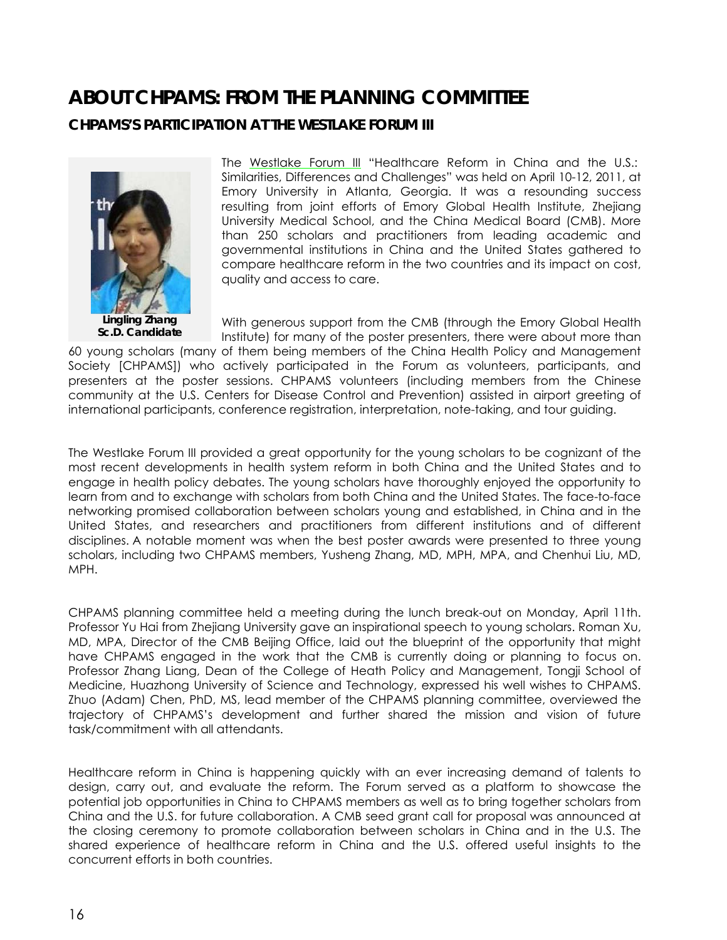## **ABOUT CHPAMS: FROM THE PLANNING COMMITTEE**

## **CHPAMS'S PARTICIPATION AT THE WESTLAKE FORUM III**



The [Westlake Forum III](http://www.regonline.com/builder/site/Default.aspx?EventID=934954) "Healthcare Reform in China and the U.S.: Similarities, Differences and Challenges" was held on April 10-12, 2011, at Emory University in Atlanta, Georgia. It was a resounding success resulting from joint efforts of Emory Global Health Institute, Zhejiang University Medical School, and the China Medical Board (CMB). More than 250 scholars and practitioners from leading academic and governmental institutions in China and the United States gathered to compare healthcare reform in the two countries and its impact on cost, quality and access to care.

With generous support from the CMB (through the Emory Global Health Institute) for many of the poster presenters, there were about more than

60 young scholars (many of them being members of the China Health Policy and Management Society [CHPAMS]) who actively participated in the Forum as volunteers, participants, and presenters at the poster sessions. CHPAMS volunteers (including members from the Chinese community at the U.S. Centers for Disease Control and Prevention) assisted in airport greeting of international participants, conference registration, interpretation, note-taking, and tour guiding.

The Westlake Forum III provided a great opportunity for the young scholars to be cognizant of the most recent developments in health system reform in both China and the United States and to engage in health policy debates. The young scholars have thoroughly enjoyed the opportunity to learn from and to exchange with scholars from both China and the United States. The face-to-face networking promised collaboration between scholars young and established, in China and in the United States, and researchers and practitioners from different institutions and of different disciplines. A notable moment was when the best poster awards were presented to three young scholars, including two CHPAMS members, Yusheng Zhang, MD, MPH, MPA, and Chenhui Liu, MD, MPH.

CHPAMS planning committee held a meeting during the lunch break-out on Monday, April 11th. Professor Yu Hai from Zhejiang University gave an inspirational speech to young scholars. Roman Xu, MD, MPA, Director of the CMB Beijing Office, laid out the blueprint of the opportunity that might have CHPAMS engaged in the work that the CMB is currently doing or planning to focus on. Professor Zhang Liang, Dean of the College of Heath Policy and Management, Tongji School of Medicine, Huazhong University of Science and Technology, expressed his well wishes to CHPAMS. Zhuo (Adam) Chen, PhD, MS, lead member of the CHPAMS planning committee, overviewed the trajectory of CHPAMS's development and further shared the mission and vision of future task/commitment with all attendants.

Healthcare reform in China is happening quickly with an ever increasing demand of talents to design, carry out, and evaluate the reform. The Forum served as a platform to showcase the potential job opportunities in China to CHPAMS members as well as to bring together scholars from China and the U.S. for future collaboration. A CMB seed grant call for proposal was announced at the closing ceremony to promote collaboration between scholars in China and in the U.S. The shared experience of healthcare reform in China and the U.S. offered useful insights to the concurrent efforts in both countries.